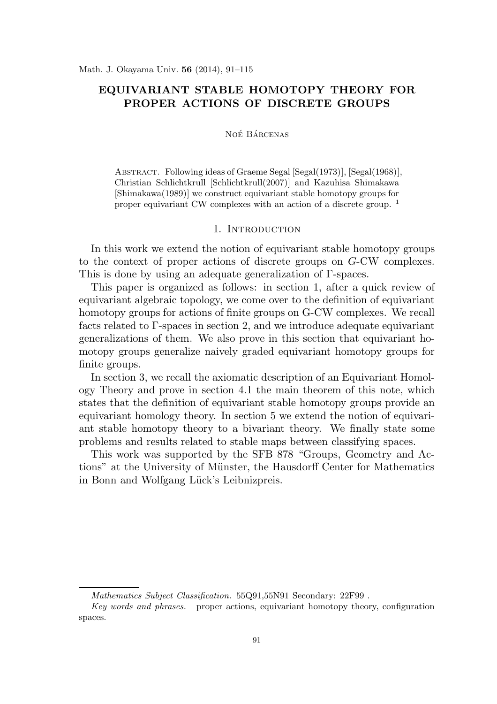# EQUIVARIANT STABLE HOMOTOPY THEORY FOR PROPER ACTIONS OF DISCRETE GROUPS

#### NOÉ BÁRCENAS

Abstract. Following ideas of Graeme Segal [Segal(1973)], [Segal(1968)], Christian Schlichtkrull [Schlichtkrull(2007)] and Kazuhisa Shimakawa [Shimakawa(1989)] we construct equivariant stable homotopy groups for proper equivariant CW complexes with an action of a discrete group. <sup>1</sup>

#### 1. INTRODUCTION

In this work we extend the notion of equivariant stable homotopy groups to the context of proper actions of discrete groups on G-CW complexes. This is done by using an adequate generalization of Γ-spaces.

This paper is organized as follows: in section 1, after a quick review of equivariant algebraic topology, we come over to the definition of equivariant homotopy groups for actions of finite groups on G-CW complexes. We recall facts related to Γ-spaces in section 2, and we introduce adequate equivariant generalizations of them. We also prove in this section that equivariant homotopy groups generalize naively graded equivariant homotopy groups for finite groups.

In section 3, we recall the axiomatic description of an Equivariant Homology Theory and prove in section 4.1 the main theorem of this note, which states that the definition of equivariant stable homotopy groups provide an equivariant homology theory. In section 5 we extend the notion of equivariant stable homotopy theory to a bivariant theory. We finally state some problems and results related to stable maps between classifying spaces.

This work was supported by the SFB 878 "Groups, Geometry and Actions" at the University of Münster, the Hausdorff Center for Mathematics in Bonn and Wolfgang Lück's Leibnizpreis.

*Mathematics Subject Classification.* 55Q91,55N91 Secondary: 22F99 .

*Key words and phrases.* proper actions, equivariant homotopy theory, configuration spaces.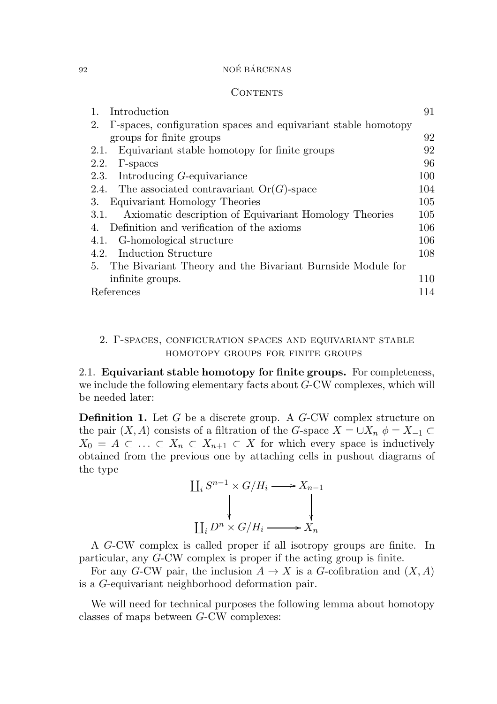#### CONTENTS

| Introduction                                                         | 91  |
|----------------------------------------------------------------------|-----|
| T-spaces, configuration spaces and equivariant stable homotopy<br>2. |     |
| groups for finite groups                                             | 92  |
| Equivariant stable homotopy for finite groups<br>2.1.                | 92  |
| 2.2.<br>$\Gamma$ -spaces                                             | 96  |
| 2.3. Introducing G-equivariance                                      | 100 |
| The associated contravariant $Or(G)$ -space<br>2.4.                  | 104 |
| Equivariant Homology Theories<br>3.                                  | 105 |
| Axiomatic description of Equivariant Homology Theories<br>3.1.       | 105 |
| Definition and verification of the axioms<br>4.                      | 106 |
| 4.1. G-homological structure                                         | 106 |
| 4.2. Induction Structure                                             | 108 |
| The Bivariant Theory and the Bivariant Burnside Module for<br>5.     |     |
| infinite groups.                                                     | 110 |
| References                                                           | 14  |

### 2. Γ-spaces, configuration spaces and equivariant stable homotopy groups for finite groups

2.1. Equivariant stable homotopy for finite groups. For completeness, we include the following elementary facts about G-CW complexes, which will be needed later:

**Definition 1.** Let  $G$  be a discrete group. A  $G$ -CW complex structure on the pair  $(X, A)$  consists of a filtration of the G-space  $X = \bigcup X_n$   $\phi = X_{-1} \subset$  $X_0 = A \subset \ldots \subset X_n \subset X_{n+1} \subset X$  for which every space is inductively obtained from the previous one by attaching cells in pushout diagrams of the type



A G-CW complex is called proper if all isotropy groups are finite. In particular, any G-CW complex is proper if the acting group is finite.

For any G-CW pair, the inclusion  $A \to X$  is a G-cofibration and  $(X, A)$ is a G-equivariant neighborhood deformation pair.

We will need for technical purposes the following lemma about homotopy classes of maps between G-CW complexes: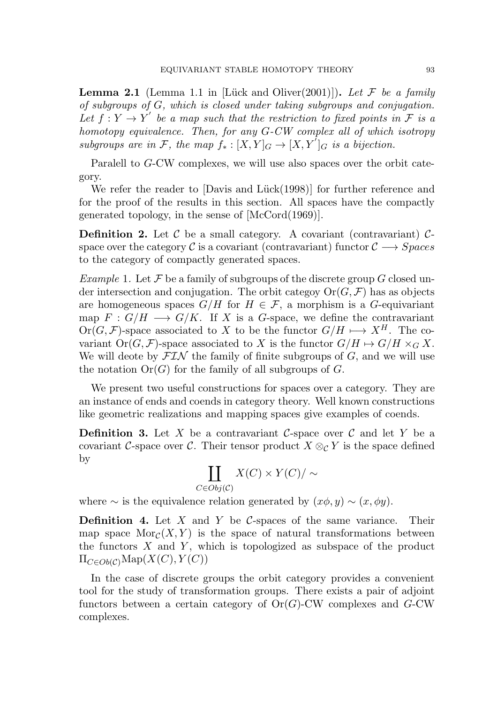**Lemma 2.1** (Lemma 1.1 in [Lück and Oliver(2001)]). Let F be a family of subgroups of G, which is closed under taking subgroups and conjugation. Let  $f: Y \to Y'$  be a map such that the restriction to fixed points in F is a homotopy equivalence. Then, for any G-CW complex all of which isotropy subgroups are in F, the map  $f_*:[X,Y]_G\to [X,Y]_G$  is a bijection.

Paralell to G-CW complexes, we will use also spaces over the orbit category.

We refer the reader to  $[Davis and Lück(1998)]$  for further reference and for the proof of the results in this section. All spaces have the compactly generated topology, in the sense of [McCord(1969)].

**Definition 2.** Let  $\mathcal{C}$  be a small category. A covariant (contravariant)  $\mathcal{C}$ space over the category C is a covariant (contravariant) functor  $C \longrightarrow Spaces$ to the category of compactly generated spaces.

Example 1. Let  $\mathcal F$  be a family of subgroups of the discrete group  $G$  closed under intersection and conjugation. The orbit categoy  $Or(G, \mathcal{F})$  has as objects are homogeneous spaces  $G/H$  for  $H \in \mathcal{F}$ , a morphism is a G-equivariant map  $F: G/H \longrightarrow G/K$ . If X is a G-space, we define the contravariant  $Or(G, \mathcal{F})$ -space associated to X to be the functor  $G/H \longrightarrow X^H$ . The covariant  $Or(G, \mathcal{F})$ -space associated to X is the functor  $G/H \mapsto G/H \times_G X$ . We will deote by  $\mathcal{FIN}$  the family of finite subgroups of G, and we will use the notation  $Or(G)$  for the family of all subgroups of G.

We present two useful constructions for spaces over a category. They are an instance of ends and coends in category theory. Well known constructions like geometric realizations and mapping spaces give examples of coends.

**Definition 3.** Let X be a contravariant C-space over C and let Y be a covariant C-space over C. Their tensor product  $X \otimes_{\mathcal{C}} Y$  is the space defined by

$$
\coprod_{C \in Obj(C)} X(C) \times Y(C) / \sim
$$

where  $\sim$  is the equivalence relation generated by  $(x\phi, y) \sim (x, \phi y)$ .

**Definition 4.** Let X and Y be C-spaces of the same variance. Their map space  $\text{Mor}_{\mathcal{C}}(X, Y)$  is the space of natural transformations between the functors  $X$  and  $Y$ , which is topologized as subspace of the product  $\Pi_{C\in Ob(\mathcal{C})}\text{Map}(X(C),Y(C))$ 

In the case of discrete groups the orbit category provides a convenient tool for the study of transformation groups. There exists a pair of adjoint functors between a certain category of  $Or(G)$ -CW complexes and  $G$ -CW complexes.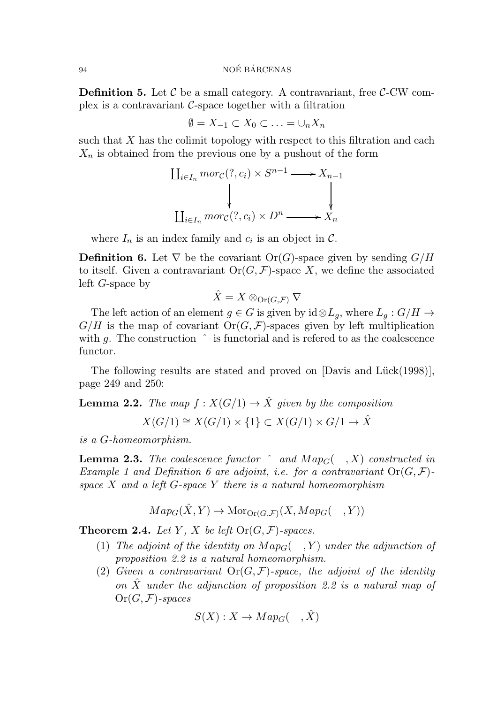**Definition 5.** Let  $\mathcal{C}$  be a small category. A contravariant, free  $\mathcal{C}\text{-CW}$  complex is a contravariant  $\mathcal{C}\text{-space together with a filtration}$ 

$$
\emptyset = X_{-1} \subset X_0 \subset \ldots = \cup_n X_n
$$

such that  $X$  has the colimit topology with respect to this filtration and each  $X_n$  is obtained from the previous one by a pushout of the form

$$
\coprod_{i \in I_n} mor_{\mathcal{C}}(?, c_i) \times S^{n-1} \longrightarrow X_{n-1}
$$
\n
$$
\downarrow \qquad \qquad \downarrow
$$
\n
$$
\coprod_{i \in I_n} mor_{\mathcal{C}}(?, c_i) \times D^n \longrightarrow X_n
$$

where  $I_n$  is an index family and  $c_i$  is an object in  $\mathcal{C}$ .

**Definition 6.** Let  $\nabla$  be the covariant Or(G)-space given by sending  $G/H$ to itself. Given a contravariant  $Or(G, \mathcal{F})$ -space X, we define the associated left G-space by

$$
\hat{X} = X \otimes_{\text{Or}(G, \mathcal{F})} \nabla
$$

The left action of an element  $g \in G$  is given by  $\mathrm{id} \otimes L_q$ , where  $L_q : G/H \to$  $G/H$  is the map of covariant  $Or(G, \mathcal{F})$ -spaces given by left multiplication with g. The construction  $\hat{ }$  is functorial and is refered to as the coalescence functor.

The following results are stated and proved on  $[Davis]$  and  $Lück(1998)],$ page 249 and 250:

**Lemma 2.2.** The map  $f : X(G/1) \to \hat{X}$  given by the composition

 $X(G/1) \cong X(G/1) \times \{1\} \subset X(G/1) \times G/1 \rightarrow \hat{X}$ 

is a G-homeomorphism.

**Lemma 2.3.** The coalescence functor  $\hat{a}$  and  $Map_G(\hat{X})$  constructed in Example 1 and Definition 6 are adjoint, i.e. for a contravariant  $Or(G, \mathcal{F})$ space X and a left  $G$ -space Y there is a natural homeomorphism

$$
Map_G(\hat{X}, Y) \to \mathrm{Mor}_{\mathrm{Or}(G, \mathcal{F})}(X, Map_G(\mathcal{F}, Y))
$$

**Theorem 2.4.** Let Y, X be left  $\text{Or}(G,\mathcal{F})$ -spaces.

- (1) The adjoint of the identity on  $Map_G( , Y)$  under the adjunction of proposition 2.2 is a natural homeomorphism.
- (2) Given a contravariant  $Or(G, \mathcal{F})$ -space, the adjoint of the identity on  $\hat{X}$  under the adjunction of proposition 2.2 is a natural map of  $Or(G, \mathcal{F})$ -spaces

$$
S(X): X \to Map_G(\quad, \hat{X})
$$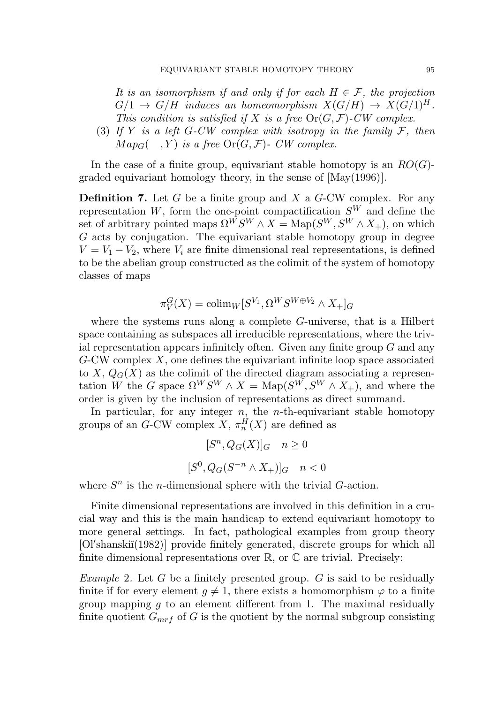It is an isomorphism if and only if for each  $H \in \mathcal{F}$ , the projection  $G/1 \rightarrow G/H$  induces an homeomorphism  $X(G/H) \rightarrow X(G/1)^H$ . This condition is satisfied if X is a free  $Or(G, \mathcal{F})$ -CW complex.

(3) If Y is a left G-CW complex with isotropy in the family  $\mathcal{F}$ , then  $Map_G(-, Y)$  is a free  $Or(G, \mathcal{F})$ - CW complex.

In the case of a finite group, equivariant stable homotopy is an  $RO(G)$ graded equivariant homology theory, in the sense of [May(1996)].

**Definition 7.** Let G be a finite group and X a  $G$ -CW complex. For any representation  $W$ , form the one-point compactification  $S<sup>W</sup>$  and define the set of arbitrary pointed maps  $\Omega^{\overline{W}}S^W \wedge X = \text{Map}(S^W, S^W \wedge X_+)$ , on which  $G$  acts by conjugation. The equivariant stable homotopy group in degree  $V = V_1 - V_2$ , where  $V_i$  are finite dimensional real representations, is defined to be the abelian group constructed as the colimit of the system of homotopy classes of maps

$$
\pi_V^G(X) = \operatorname{colim}_W[S^{V_1}, \Omega^W S^{W \oplus V_2} \wedge X_+]_G
$$

where the systems runs along a complete  $G$ -universe, that is a Hilbert space containing as subspaces all irreducible representations, where the trivial representation appears infinitely often. Given any finite group  $G$  and any  $G-CW$  complex X, one defines the equivariant infinite loop space associated to X,  $Q_G(X)$  as the colimit of the directed diagram associating a representation W the G space  $\Omega^W S^W \wedge X = \text{Map}(S^W, S^W \wedge X_+)$ , and where the order is given by the inclusion of representations as direct summand.

In particular, for any integer  $n$ , the *n*-th-equivariant stable homotopy groups of an G-CW complex  $X$ ,  $\pi_n^H(X)$  are defined as

$$
[S^n, Q_G(X)]_G \quad n \ge 0
$$
  

$$
[S^0, Q_G(S^{-n} \wedge X_+)]_G \quad n < 0
$$

where  $S<sup>n</sup>$  is the *n*-dimensional sphere with the trivial  $G$ -action.

Finite dimensional representations are involved in this definition in a crucial way and this is the main handicap to extend equivariant homotopy to more general settings. In fact, pathological examples from group theory [Ol'shanskiĭ(1982)] provide finitely generated, discrete groups for which all finite dimensional representations over  $\mathbb{R}$ , or  $\mathbb{C}$  are trivial. Precisely:

*Example 2.* Let  $G$  be a finitely presented group.  $G$  is said to be residually finite if for every element  $g \neq 1$ , there exists a homomorphism  $\varphi$  to a finite group mapping q to an element different from 1. The maximal residually finite quotient  $G_{mrf}$  of G is the quotient by the normal subgroup consisting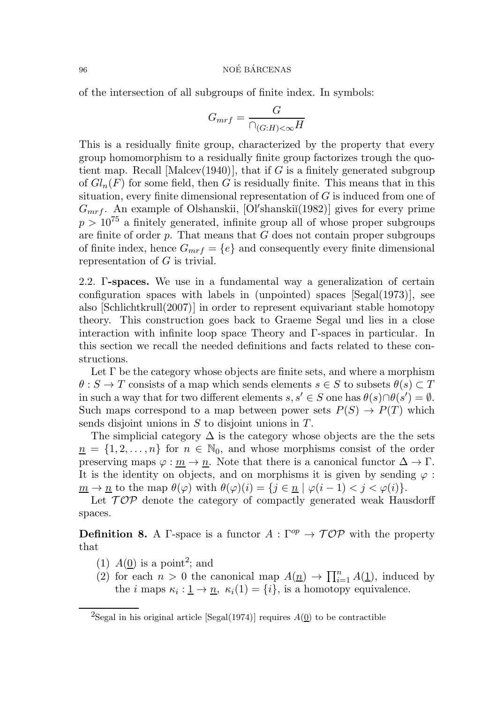of the intersection of all subgroups of finite index. In symbols:

$$
G_{mrf} = \frac{G}{\cap_{(G:H) < \infty} H}
$$

This is a residually finite group, characterized by the property that every group homomorphism to a residually finite group factorizes trough the quotient map. Recall [Malcev(1940)], that if G is a finitely generated subgroup of  $Gl_n(F)$  for some field, then G is residually finite. This means that in this situation, every finite dimensional representation of  $G$  is induced from one of  $G_{mrf}$ . An example of Olshanskii, [Ol'shanskii(1982)] gives for every prime  $p > 10^{75}$  a finitely generated, infinite group all of whose proper subgroups are finite of order  $p$ . That means that  $G$  does not contain proper subgroups of finite index, hence  $G_{mrf} = \{e\}$  and consequently every finite dimensional representation of G is trivial.

2.2. Γ-spaces. We use in a fundamental way a generalization of certain configuration spaces with labels in (unpointed) spaces [Segal(1973)], see also [Schlichtkrull(2007)] in order to represent equivariant stable homotopy theory. This construction goes back to Graeme Segal und lies in a close interaction with infinite loop space Theory and Γ-spaces in particular. In this section we recall the needed definitions and facts related to these constructions.

Let  $\Gamma$  be the category whose objects are finite sets, and where a morphism  $\theta : S \to T$  consists of a map which sends elements  $s \in S$  to subsets  $\theta(s) \subset T$ in such a way that for two different elements  $s, s' \in S$  one has  $\theta(s) \cap \theta(s') = \emptyset$ . Such maps correspond to a map between power sets  $P(S) \to P(T)$  which sends disjoint unions in  $S$  to disjoint unions in  $T$ .

The simplicial category  $\Delta$  is the category whose objects are the the sets  $n = \{1, 2, \ldots, n\}$  for  $n \in \mathbb{N}_0$ , and whose morphisms consist of the order preserving maps  $\varphi : m \to n$ . Note that there is a canonical functor  $\Delta \to \Gamma$ . It is the identity on objects, and on morphisms it is given by sending  $\varphi$ :  $\underline{m} \to \underline{n}$  to the map  $\theta(\varphi)$  with  $\theta(\varphi)(i) = \{j \in \underline{n} \mid \varphi(i-1) < j < \varphi(i)\}.$ 

Let  $\mathcal{TOP}$  denote the category of compactly generated weak Hausdorff spaces.

**Definition 8.** A Γ-space is a functor  $A : \Gamma^{op} \to \mathcal{TOP}$  with the property that

- (1)  $A(\underline{0})$  is a point<sup>2</sup>; and
- (2) for each  $n > 0$  the canonical map  $A(\underline{n}) \to \prod_{i=1}^n A(\underline{1})$ , induced by the *i* maps  $\kappa_i : \underline{1} \to \underline{n}, \ \kappa_i(1) = \{i\}$ , is a homotopy equivalence.

<sup>&</sup>lt;sup>2</sup>Segal in his original article [Segal(1974)] requires  $A(\underline{0})$  to be contractible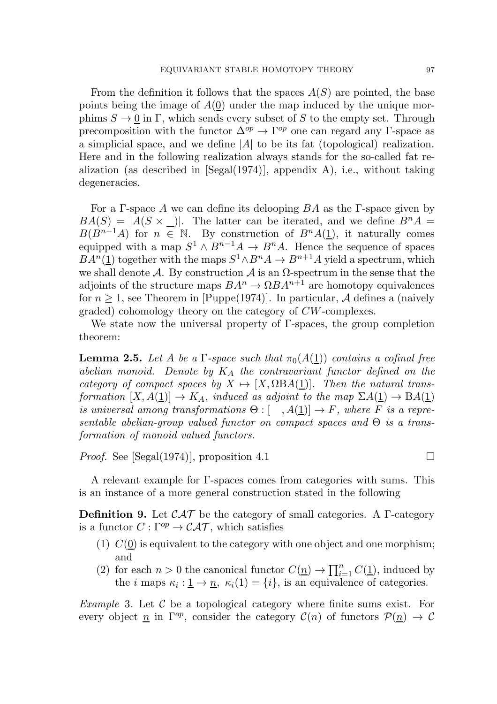From the definition it follows that the spaces  $A(S)$  are pointed, the base points being the image of  $A(0)$  under the map induced by the unique morphims  $S \to 0$  in Γ, which sends every subset of S to the empty set. Through precomposition with the functor  $\Delta^{op} \to \Gamma^{op}$  one can regard any Γ-space as a simplicial space, and we define  $|A|$  to be its fat (topological) realization. Here and in the following realization always stands for the so-called fat realization (as described in  $[Segal(1974)]$ , appendix A), i.e., without taking degeneracies.

For a Γ-space A we can define its delooping  $BA$  as the Γ-space given by  $BA(S) = |A(S \times \_)|$ . The latter can be iterated, and we define  $B^nA =$  $B(B^{n-1}A)$  for  $n \in \mathbb{N}$ . By construction of  $B^nA(\underline{1})$ , it naturally comes equipped with a map  $S^1 \wedge B^{n-1}A \to B^nA$ . Hence the sequence of spaces  $BA<sup>n</sup>(1)$  together with the maps  $S<sup>1</sup> \wedge B<sup>n</sup>A \rightarrow B<sup>n+1</sup>A$  yield a spectrum, which we shall denote A. By construction A is an  $\Omega$ -spectrum in the sense that the adjoints of the structure maps  $BA^n \to \Omega BA^{n+1}$  are homotopy equivalences for  $n \geq 1$ , see Theorem in [Puppe(1974)]. In particular, A defines a (naively graded) cohomology theory on the category of CW-complexes.

We state now the universal property of Γ-spaces, the group completion theorem:

**Lemma 2.5.** Let A be a  $\Gamma$ -space such that  $\pi_0(A(\underline{1}))$  contains a cofinal free abelian monoid. Denote by  $K_A$  the contravariant functor defined on the category of compact spaces by  $X \mapsto [X, \Omega BA(\underline{1})]$ . Then the natural transformation  $[X, A(1)] \to K_A$ , induced as adjoint to the map  $\Sigma A(1) \to BA(1)$ is universal among transformations  $\Theta : [-, A(1)] \to F$ , where F is a representable abelian-group valued functor on compact spaces and  $\Theta$  is a transformation of monoid valued functors.

*Proof.* See [Segal(1974)], proposition 4.1

A relevant example for Γ-spaces comes from categories with sums. This is an instance of a more general construction stated in the following

**Definition 9.** Let  $\mathcal{CAT}$  be the category of small categories. A  $\Gamma$ -category is a functor  $C : \Gamma^{op} \to \mathcal{CAT}$ , which satisfies

- (1)  $C(\underline{0})$  is equivalent to the category with one object and one morphism; and
- (2) for each  $n > 0$  the canonical functor  $C(\underline{n}) \to \prod_{i=1}^n C(\underline{1})$ , induced by the *i* maps  $\kappa_i : \underline{1} \to \underline{n}, \ \kappa_i(1) = \{i\}$ , is an equivalence of categories.

*Example* 3. Let  $\mathcal C$  be a topological category where finite sums exist. For every object n in  $\Gamma^{op}$ , consider the category  $\mathcal{C}(n)$  of functors  $\mathcal{P}(n) \to \mathcal{C}$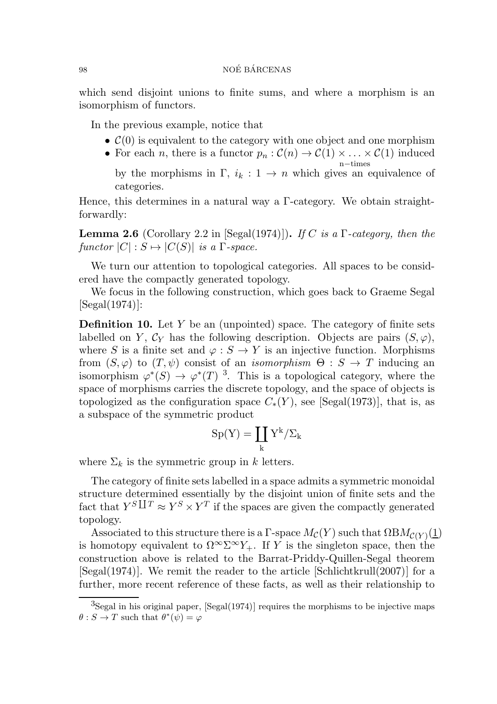which send disjoint unions to finite sums, and where a morphism is an isomorphism of functors.

In the previous example, notice that

- $\mathcal{C}(0)$  is equivalent to the category with one object and one morphism
- For each *n*, there is a functor  $p_n : C(n) \to C(1) \times \ldots \times C(1)$  induced n−times by the morphisms in  $\Gamma$ ,  $i_k : 1 \to n$  which gives an equivalence of categories.

Hence, this determines in a natural way a Γ-category. We obtain straightforwardly:

**Lemma 2.6** (Corollary 2.2 in [Segal(1974)]). If C is a  $\Gamma$ -category, then the functor  $|C|: S \mapsto |C(S)|$  is a  $\Gamma$ -space.

We turn our attention to topological categories. All spaces to be considered have the compactly generated topology.

We focus in the following construction, which goes back to Graeme Segal [Segal(1974)]:

**Definition 10.** Let Y be an (unpointed) space. The category of finite sets labelled on Y,  $\mathcal{C}_Y$  has the following description. Objects are pairs  $(S, \varphi)$ , where S is a finite set and  $\varphi : S \to Y$  is an injective function. Morphisms from  $(S, \varphi)$  to  $(T, \psi)$  consist of an *isomorphism*  $\Theta : S \to T$  inducing an isomorphism  $\varphi^*(S) \to \varphi^*(T)$ <sup>3</sup>. This is a topological category, where the space of morphisms carries the discrete topology, and the space of objects is topologized as the configuration space  $C_*(Y)$ , see [Segal(1973)], that is, as a subspace of the symmetric product

$$
\mathrm{Sp}(Y)=\coprod_k Y^k/\Sigma_k
$$

where  $\Sigma_k$  is the symmetric group in k letters.

The category of finite sets labelled in a space admits a symmetric monoidal structure determined essentially by the disjoint union of finite sets and the fact that  $Y^{S} \Box^{T} \approx Y^{S} \times Y^{T}$  if the spaces are given the compactly generated topology.

Associated to this structure there is a  $\Gamma$ -space  $M_{\mathcal{C}}(Y)$  such that  $\Omega BM_{\mathcal{C}(Y)}(\underline{1})$ is homotopy equivalent to  $\Omega^{\infty} \Sigma^{\infty} Y_+$ . If Y is the singleton space, then the construction above is related to the Barrat-Priddy-Quillen-Segal theorem [Segal(1974)]. We remit the reader to the article [Schlichtkrull(2007)] for a further, more recent reference of these facts, as well as their relationship to

 ${}^{3}$ Segal in his original paper, [Segal(1974)] requires the morphisms to be injective maps  $\theta : S \to T$  such that  $\theta^*(\psi) = \varphi$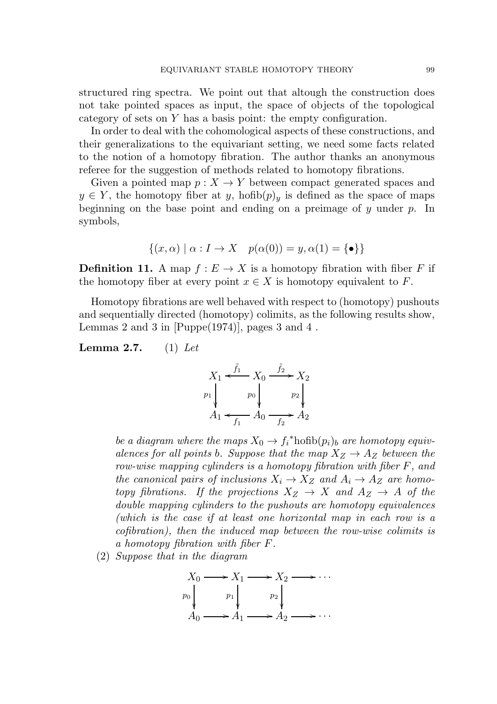structured ring spectra. We point out that altough the construction does not take pointed spaces as input, the space of objects of the topological category of sets on Y has a basis point: the empty configuration.

In order to deal with the cohomological aspects of these constructions, and their generalizations to the equivariant setting, we need some facts related to the notion of a homotopy fibration. The author thanks an anonymous referee for the suggestion of methods related to homotopy fibrations.

Given a pointed map  $p: X \to Y$  between compact generated spaces and  $y \in Y$ , the homotopy fiber at y, hofib $(p)_y$  is defined as the space of maps beginning on the base point and ending on a preimage of  $y$  under  $p$ . In symbols,

$$
\{(x,\alpha) \mid \alpha: I \to X \quad p(\alpha(0)) = y, \alpha(1) = \{\bullet\}\}\
$$

**Definition 11.** A map  $f : E \to X$  is a homotopy fibration with fiber F if the homotopy fiber at every point  $x \in X$  is homotopy equivalent to F.

Homotopy fibrations are well behaved with respect to (homotopy) pushouts and sequentially directed (homotopy) colimits, as the following results show, Lemmas 2 and 3 in  $[Puppe(1974)]$ , pages 3 and 4.

**Lemma 2.7.** (1) Let

$$
X_1 \xleftarrow{f_1} X_0 \xrightarrow{f_2} X_2
$$
\n
$$
p_1 \downarrow p_0 \downarrow p_2 \downarrow p_3
$$
\n
$$
A_1 \xleftarrow{f_1} A_0 \xrightarrow{f_2} A_2
$$

be a diagram where the maps  $X_0 \to f_i^*$ hofib $(p_i)_b$  are homotopy equivalences for all points b. Suppose that the map  $X_Z \rightarrow A_Z$  between the row-wise mapping cylinders is a homotopy fibration with fiber F, and the canonical pairs of inclusions  $X_i \to X_Z$  and  $A_i \to A_Z$  are homotopy fibrations. If the projections  $X_Z \to X$  and  $A_Z \to A$  of the double mapping cylinders to the pushouts are homotopy equivalences (which is the case if at least one horizontal map in each row is a cofibration), then the induced map between the row-wise colimits is a homotopy fibration with fiber F.

(2) Suppose that in the diagram

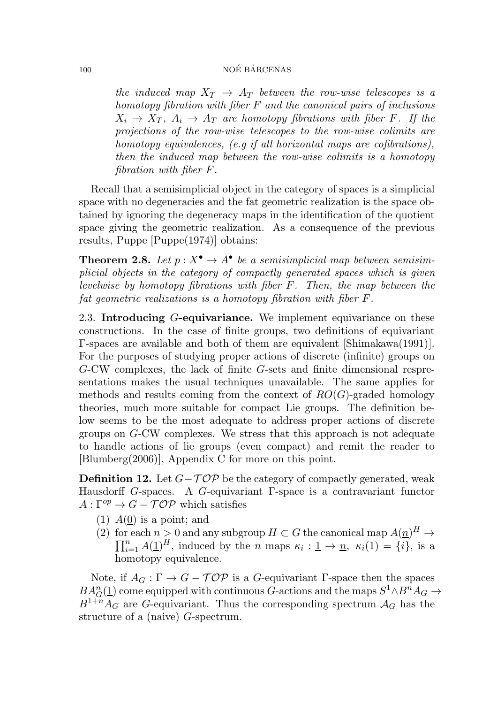the induced map  $X_T \rightarrow A_T$  between the row-wise telescopes is a homotopy fibration with fiber  $F$  and the canonical pairs of inclusions  $X_i \rightarrow X_T$ ,  $A_i \rightarrow A_T$  are homotopy fibrations with fiber F. If the projections of the row-wise telescopes to the row-wise colimits are homotopy equivalences, (e.g if all horizontal maps are cofibrations), then the induced map between the row-wise colimits is a homotopy fibration with fiber F.

Recall that a semisimplicial object in the category of spaces is a simplicial space with no degeneracies and the fat geometric realization is the space obtained by ignoring the degeneracy maps in the identification of the quotient space giving the geometric realization. As a consequence of the previous results, Puppe [Puppe(1974)] obtains:

**Theorem 2.8.** Let  $p: X^{\bullet} \to A^{\bullet}$  be a semisimplicial map between semisimplicial objects in the category of compactly generated spaces which is given levelwise by homotopy fibrations with fiber F. Then, the map between the fat geometric realizations is a homotopy fibration with fiber F.

2.3. Introducing G-equivariance. We implement equivariance on these constructions. In the case of finite groups, two definitions of equivariant Γ-spaces are available and both of them are equivalent [Shimakawa(1991)]. For the purposes of studying proper actions of discrete (infinite) groups on G-CW complexes, the lack of finite G-sets and finite dimensional respresentations makes the usual techniques unavailable. The same applies for methods and results coming from the context of  $RO(G)$ -graded homology theories, much more suitable for compact Lie groups. The definition below seems to be the most adequate to address proper actions of discrete groups on G-CW complexes. We stress that this approach is not adequate to handle actions of lie groups (even compact) and remit the reader to [Blumberg(2006)], Appendix C for more on this point.

**Definition 12.** Let  $G - \mathcal{TOP}$  be the category of compactly generated, weak Hausdorff G-spaces. A G-equivariant Γ-space is a contravariant functor  $A:\Gamma^{op}\to G-\mathcal{TOP}$  which satisfies

- (1)  $A(0)$  is a point; and
- (2) for each  $n > 0$  and any subgroup  $H \subset G$  the canonical map  $A(\underline{n})^H \to \overline{\Pi}^n A(1)H$  induced by the n maps  $\kappa$  is  $1 \to n \kappa(1) \overline{\kappa}$  $\prod_{i=1}^{n} A(\underline{1})^H$ , induced by the *n* maps  $\kappa_i : \underline{1} \to \underline{n}$ ,  $\kappa_i(1) = \{i\}$ , is a homotopy equivalence.

Note, if  $A_G : \Gamma \to G - \mathcal{TOP}$  is a G-equivariant  $\Gamma$ -space then the spaces  $BA_G^n(1)$  come equipped with continuous G-actions and the maps  $S^1 \wedge B^n A_G \rightarrow$  $B^{1+n}A_G$  are G-equivariant. Thus the corresponding spectrum  $A_G$  has the structure of a (naive) G-spectrum.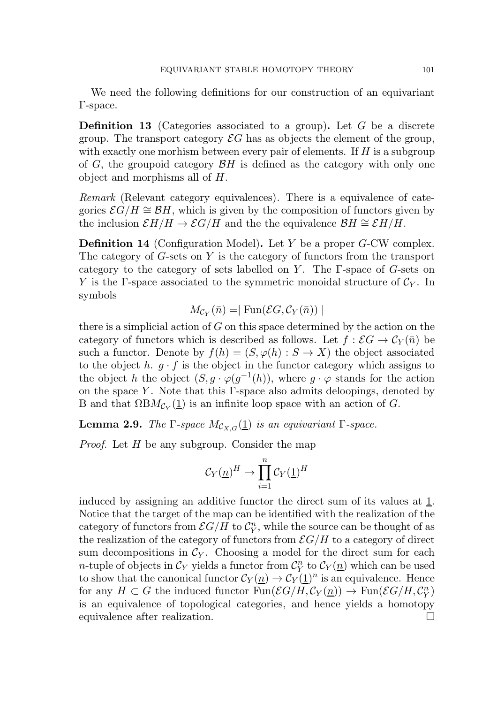We need the following definitions for our construction of an equivariant Γ-space.

**Definition 13** (Categories associated to a group). Let  $G$  be a discrete group. The transport category  $\mathcal{E}G$  has as objects the element of the group, with exactly one morhism between every pair of elements. If  $H$  is a subgroup of G, the groupoid category  $\mathcal{B}H$  is defined as the category with only one object and morphisms all of H.

Remark (Relevant category equivalences). There is a equivalence of categories  $\mathcal{E}G/H \cong \mathcal{B}H$ , which is given by the composition of functors given by the inclusion  $\mathcal{E}H/H \to \mathcal{E}G/H$  and the the equivalence  $\mathcal{B}H \cong \mathcal{E}H/H$ .

Definition 14 (Configuration Model). Let Y be a proper G-CW complex. The category of G-sets on Y is the category of functors from the transport category to the category of sets labelled on Y. The  $\Gamma$ -space of G-sets on Y is the Γ-space associated to the symmetric monoidal structure of  $\mathcal{C}_Y$ . In symbols

$$
M_{\mathcal{C}_Y}(\bar{n}) = |\operatorname{Fun}(\mathcal{E}G, \mathcal{C}_Y(\bar{n}))|
$$

there is a simplicial action of  $G$  on this space determined by the action on the category of functors which is described as follows. Let  $f : \mathcal{E}G \to \mathcal{C}_Y(\bar{n})$  be such a functor. Denote by  $f(h) = (S, \varphi(h) : S \to X)$  the object associated to the object h.  $q \cdot f$  is the object in the functor category which assigns to the object h the object  $(S, g \cdot \varphi(g^{-1}(h))$ , where  $g \cdot \varphi$  stands for the action on the space Y. Note that this  $\Gamma$ -space also admits deloopings, denoted by B and that  $\Omega BM_{\mathcal{C}_Y}(\underline{1})$  is an infinite loop space with an action of G.

**Lemma 2.9.** The  $\Gamma$ -space  $M_{\mathcal{C}_{X,G}}(\underline{1})$  is an equivariant  $\Gamma$ -space.

Proof. Let H be any subgroup. Consider the map

$$
\mathcal{C}_Y(\underline{n})^H \to \prod_{i=1}^n \mathcal{C}_Y(\underline{1})^H
$$

induced by assigning an additive functor the direct sum of its values at 1. Notice that the target of the map can be identified with the realization of the category of functors from  $\mathcal{E}G/H$  to  $\mathcal{C}_{Y}^{n}$  $Y<sup>n</sup>$ , while the source can be thought of as the realization of the category of functors from  $\mathcal{E}G/H$  to a category of direct sum decompositions in  $\mathcal{C}_Y$ . Choosing a model for the direct sum for each *n*-tuple of objects in  $\mathcal{C}_Y$  yields a functor from  $\mathcal{C}_Y^n$  $\int_Y^n$  to  $\mathcal{C}_Y(\underline{n})$  which can be used to show that the canonical functor  $\mathcal{C}_Y(\underline{n}) \to \mathcal{C}_Y(\underline{1})^n$  is an equivalence. Hence for any  $H \subset G$  the induced functor  $\text{Fun}(\mathcal{E}G/H, \mathcal{C}_Y(\underline{n})) \to \text{Fun}(\mathcal{E}G/H, \mathcal{C}_Y^n)$  $_{Y}^{n}$ is an equivalence of topological categories, and hence yields a homotopy equivalence after realization.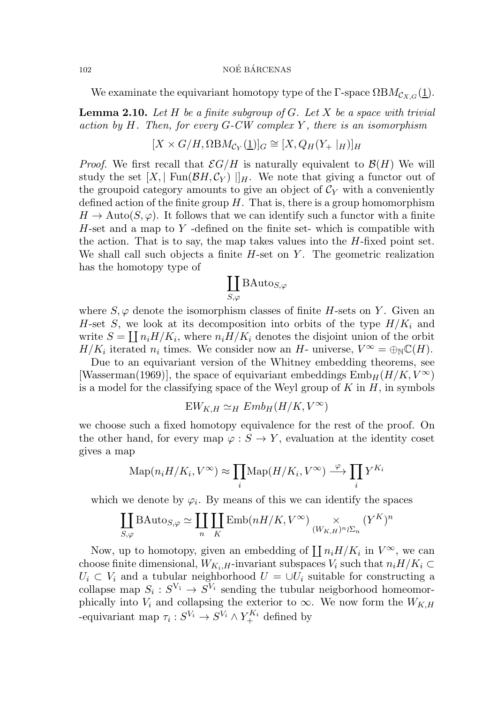We examinate the equivariant homotopy type of the Γ-space  $\Omega BM_{\mathcal{C}_{X,G}}(\underline{1}).$ 

**Lemma 2.10.** Let H be a finite subgroup of G. Let X be a space with trivial action by  $H$ . Then, for every  $G$ -CW complex  $Y$ , there is an isomorphism

$$
[X \times G/H, \Omega \text{B}M_{C_Y}(\underline{1})]_G \cong [X, Q_H(Y_+ \mid_H)]_H
$$

*Proof.* We first recall that  $\mathcal{E}G/H$  is naturally equivalent to  $\mathcal{B}(H)$  We will study the set  $[X, \vert \text{ Fun}(\mathcal{B}H, \mathcal{C}_Y) \vert]_H$ . We note that giving a functor out of the groupoid category amounts to give an object of  $C_Y$  with a conveniently defined action of the finite group  $H$ . That is, there is a group homomorphism  $H \to \text{Auto}(S, \varphi)$ . It follows that we can identify such a functor with a finite  $H$ -set and a map to Y -defined on the finite set- which is compatible with the action. That is to say, the map takes values into the  $H$ -fixed point set. We shall call such objects a finite  $H$ -set on  $Y$ . The geometric realization has the homotopy type of

$$
\coprod_{S,\varphi} \text{BAuto}_{S,\varphi}
$$

where  $S, \varphi$  denote the isomorphism classes of finite H-sets on Y. Given an H-set S, we look at its decomposition into orbits of the type  $H/K_i$  and write  $S = \prod_i n_i H/K_i$ , where  $n_i H/K_i$  denotes the disjoint union of the orbit  $H/K_i$  iterated  $n_i$  times. We consider now an H- universe,  $V^{\infty} = \bigoplus_{\mathbb{N}} \mathbb{C}(H)$ .

Due to an equivariant version of the Whitney embedding theorems, see [Wasserman(1969)], the space of equivariant embeddings  $\text{Emb}_H(H/K, V^{\infty})$ is a model for the classifying space of the Weyl group of  $K$  in  $H$ , in symbols

$$
EW_{K,H} \simeq_H Emb_H(H/K,V^\infty)
$$

we choose such a fixed homotopy equivalence for the rest of the proof. On the other hand, for every map  $\varphi : S \to Y$ , evaluation at the identity coset gives a map

$$
\mathrm{Map}(n_i H/K_i, V^{\infty}) \approx \prod_i \mathrm{Map}(H/K_i, V^{\infty}) \stackrel{\varphi}{\longrightarrow} \prod_i Y^{K_i}
$$

which we denote by  $\varphi_i$ . By means of this we can identify the spaces

$$
\coprod_{S,\varphi} \text{BAuto}_{S,\varphi} \simeq \coprod_{n} \coprod_{K} \text{Emb}(nH/K, V^{\infty}) \underset{(W_{K,H})^n \wr \Sigma_n}{\times} (Y^K)^n
$$

Now, up to homotopy, given an embedding of  $\prod n_i H/K_i$  in  $V^{\infty}$ , we can choose finite dimensional,  $W_{K_i,H}$ -invariant subspaces  $V_i$  such that  $n_iH/K_i \subset$  $U_i \subset V_i$  and a tubular neighborhood  $U = \cup U_i$  suitable for constructing a collapse map  $S_i: S^{V_i} \to S^{V_i}$  sending the tubular neigborhood homeomorphically into  $V_i$  and collapsing the exterior to  $\infty$ . We now form the  $W_{K,H}$ -equivariant map  $\tau_i: S^{V_i} \to S^{V_i} \wedge Y_+^{K_i}$  defined by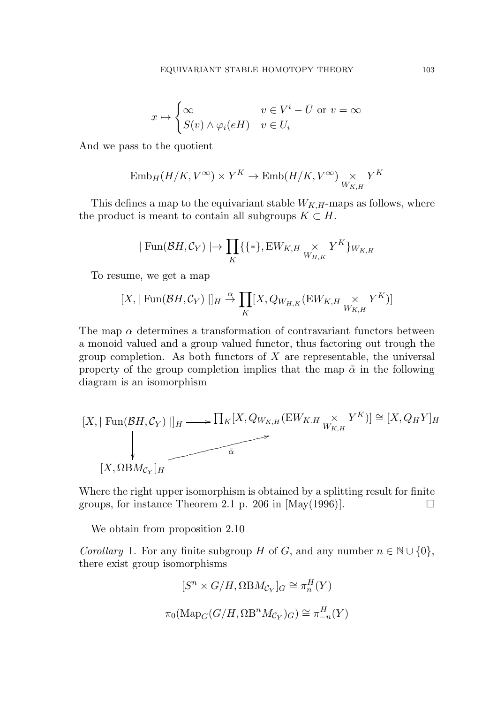$$
x \mapsto \begin{cases} \infty & v \in V^i - \bar{U} \text{ or } v = \infty \\ S(v) \wedge \varphi_i(eH) & v \in U_i \end{cases}
$$

And we pass to the quotient

$$
\mathrm{Emb}_H(H/K,V^\infty)\times Y^K\to \mathrm{Emb}(H/K,V^\infty)\underset{W_{K,H}}{\times} Y^K
$$

This defines a map to the equivariant stable  $W_{K,H}$ -maps as follows, where the product is meant to contain all subgroups  $K \subset H$ .

$$
|\text{ Fun}(\mathcal{B}H, \mathcal{C}_Y)| \to \prod_K \{\{\ast\}, \text{EW}_{K,H} \underset{W_{H,K}}{\times} Y^K\}_{W_{K,H}}
$$

To resume, we get a map

$$
[X, \mid \text{Fun}(\mathcal{B}H, \mathcal{C}_Y) \mid]_H \xrightarrow{\alpha} \prod_K [X, Q_{W_{H,K}}(\text{EW}_{K,H} \underset{W_{K,H}}{\times} Y^K)]
$$

The map  $\alpha$  determines a transformation of contravariant functors between a monoid valued and a group valued functor, thus factoring out trough the group completion. As both functors of  $X$  are representable, the universal property of the group completion implies that the map  $\tilde{\alpha}$  in the following diagram is an isomorphism

$$
[X, \mid \text{Fun}(\mathcal{B}H, \mathcal{C}_Y) \mid]_H \longrightarrow \prod_K [X, Q_{W_{K,H}}(\text{EW}_{K,H} \underset{W_{K,H}}{\times} Y^K)] \cong [X, Q_H Y]_H
$$
  

$$
[X, \Omega \text{BM}_{\mathcal{C}_Y}]_H
$$

Where the right upper isomorphism is obtained by a splitting result for finite groups, for instance Theorem 2.1 p. 206 in  $[May(1996)]$ .

We obtain from proposition 2.10

Corollary 1. For any finite subgroup H of G, and any number  $n \in \mathbb{N} \cup \{0\}$ , there exist group isomorphisms

$$
[S^n \times G/H, \Omega \text{B}M_{\mathcal{C}_Y}]_G \cong \pi_n^H(Y)
$$

$$
\pi_0(\text{Map}_G(G/H, \Omega \text{B}^n M_{\mathcal{C}_Y})_G) \cong \pi_{-n}^H(Y)
$$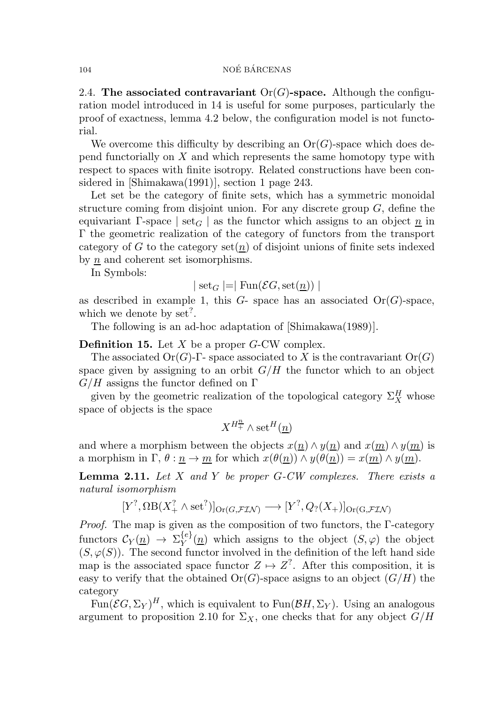2.4. The associated contravariant  $Or(G)$ -space. Although the configuration model introduced in 14 is useful for some purposes, particularly the proof of exactness, lemma 4.2 below, the configuration model is not functorial.

We overcome this difficulty by describing an  $Or(G)$ -space which does depend functorially on  $X$  and which represents the same homotopy type with respect to spaces with finite isotropy. Related constructions have been considered in [Shimakawa(1991)], section 1 page 243.

Let set be the category of finite sets, which has a symmetric monoidal structure coming from disjoint union. For any discrete group  $G$ , define the equivariant Γ-space | set<sub>G</sub> | as the functor which assigns to an object  $\underline{n}$  in Γ the geometric realization of the category of functors from the transport category of G to the category  $set(n)$  of disjoint unions of finite sets indexed by n and coherent set isomorphisms.

In Symbols:

$$
|\n\operatorname{set}_G| = |\operatorname{Fun}(\mathcal{E}G, \operatorname{set}(\underline{n}))|
$$

as described in example 1, this  $G$ - space has an associated  $Or(G)$ -space, which we denote by  $set^?$ .

The following is an ad-hoc adaptation of [Shimakawa(1989)].

**Definition 15.** Let  $X$  be a proper  $G$ -CW complex.

The associated  $Or(G)-\Gamma$ - space associated to X is the contravariant  $Or(G)$ space given by assigning to an orbit  $G/H$  the functor which to an object  $G/H$  assigns the functor defined on  $\Gamma$ 

given by the geometric realization of the topological category  $\Sigma^H_X$  whose space of objects is the space

$$
X^{H_+^{\underline{n}}} \wedge \operatorname{set}^H(\underline{n})
$$

and where a morphism between the objects  $x(\underline{n}) \wedge y(\underline{n})$  and  $x(\underline{m}) \wedge y(\underline{m})$  is a morphism in  $\Gamma$ ,  $\theta$  :  $\underline{n} \to \underline{m}$  for which  $x(\theta(\underline{n})) \wedge y(\theta(\underline{n})) = x(\underline{m}) \wedge y(\underline{m})$ .

**Lemma 2.11.** Let X and Y be proper  $G-CW$  complexes. There exists a natural isomorphism

$$
[Y^?, \Omega B(X^?_+ \wedge \text{set}^?)]_{\text{Or}(G, \mathcal{FIN})} \longrightarrow [Y^?, Q_?(X_+)]_{\text{Or}(G, \mathcal{FIN})}
$$

Proof. The map is given as the composition of two functors, the Γ-category functors  $\mathcal{C}_Y(\underline{n}) \rightarrow \Sigma_Y^{\{e\}}$  $Y^{(e)}(n)$  which assigns to the object  $(S, \varphi)$  the object  $(S, \varphi(S))$ . The second functor involved in the definition of the left hand side map is the associated space functor  $Z \mapsto Z^?$ . After this composition, it is easy to verify that the obtained  $Or(G)$ -space asigns to an object  $(G/H)$  the category

 $\text{Fun}(\mathcal{E}G,\Sigma_Y)^H,$  which is equivalent to  $\text{Fun}(\mathcal{B}H,\Sigma_Y).$  Using an analogous argument to proposition 2.10 for  $\Sigma_X$ , one checks that for any object  $G/H$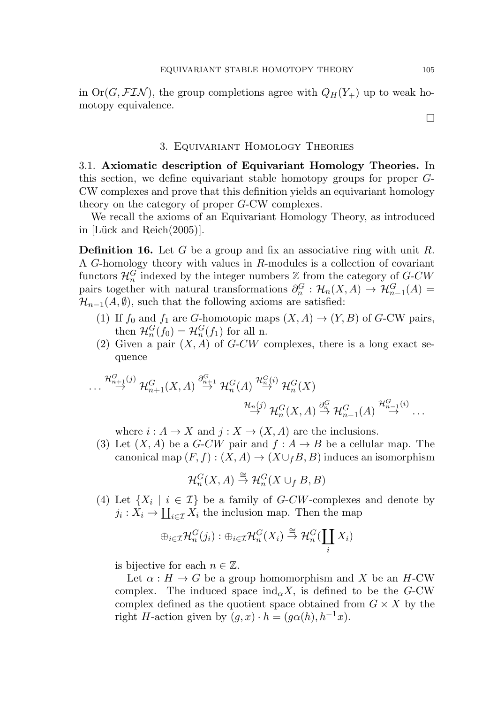in  $Or(G, FLN)$ , the group completions agree with  $Q_H(Y_+)$  up to weak homotopy equivalence.

## 3. Equivariant Homology Theories

3.1. Axiomatic description of Equivariant Homology Theories. In this section, we define equivariant stable homotopy groups for proper G-CW complexes and prove that this definition yields an equivariant homology theory on the category of proper G-CW complexes.

We recall the axioms of an Equivariant Homology Theory, as introduced in [Lück and Reich $(2005)$ ].

**Definition 16.** Let G be a group and fix an associative ring with unit R. A G-homology theory with values in R-modules is a collection of covariant functors  $\mathcal{H}_n^G$  indexed by the integer numbers  $\mathbb{Z}$  from the category of  $G$ -CW pairs together with natural transformations  $\partial_n^G : \mathcal{H}_n(X,A) \to \mathcal{H}_{n-1}^G(A) =$  $\mathcal{H}_{n-1}(A,\emptyset)$ , such that the following axioms are satisfied:

- (1) If  $f_0$  and  $f_1$  are G-homotopic maps  $(X, A) \to (Y, B)$  of G-CW pairs, then  $\mathcal{H}_n^G(f_0) = \mathcal{H}_n^G(f_1)$  for all n.
- (2) Given a pair  $(X, A)$  of G-CW complexes, there is a long exact sequence

$$
\cdots \stackrel{\mathcal{H}_{n+1}^{G}(j)}{\rightarrow} \mathcal{H}_{n+1}^{G}(X, A) \stackrel{\partial_{n+1}^{G} \rightarrow} {\rightarrow} \mathcal{H}_{n}^{G}(A) \stackrel{\mathcal{H}_{n}^{G}(i)}{\rightarrow} \mathcal{H}_{n}^{G}(X) \stackrel{\partial_{n}^{G} \rightarrow} {\rightarrow} \mathcal{H}_{n-1}^{G}(A) \stackrel{\mathcal{H}_{n-1}^{G}(i)}{\rightarrow} \cdots
$$

where  $i : A \to X$  and  $j : X \to (X, A)$  are the inclusions.

(3) Let  $(X, A)$  be a G-CW pair and  $f : A \rightarrow B$  be a cellular map. The canonical map  $(F, f) : (X, A) \to (X \cup_{f} B, B)$  induces an isomorphism

$$
\mathcal{H}_n^G(X,A)\stackrel{\cong}{\to} \mathcal{H}_n^G(X\cup_f B,B)
$$

(4) Let  $\{X_i \mid i \in \mathcal{I}\}\$ be a family of *G-CW*-complexes and denote by  $j_i: X_i \to \coprod_{i \in \mathcal{I}} X_i$  the inclusion map. Then the map

$$
\oplus_{i\in\mathcal{I}}\mathcal{H}_n^G(j_i):\oplus_{i\in\mathcal{I}}\mathcal{H}_n^G(X_i)\stackrel{\cong}{\to} \mathcal{H}_n^G(\coprod_iX_i)
$$

is bijective for each  $n \in \mathbb{Z}$ .

Let  $\alpha : H \to G$  be a group homomorphism and X be an H-CW complex. The induced space  $\text{ind}_{\alpha} X$ , is defined to be the G-CW complex defined as the quotient space obtained from  $G \times X$  by the right H-action given by  $(q, x) \cdot h = (q\alpha(h), h^{-1}x)$ .

 $\Box$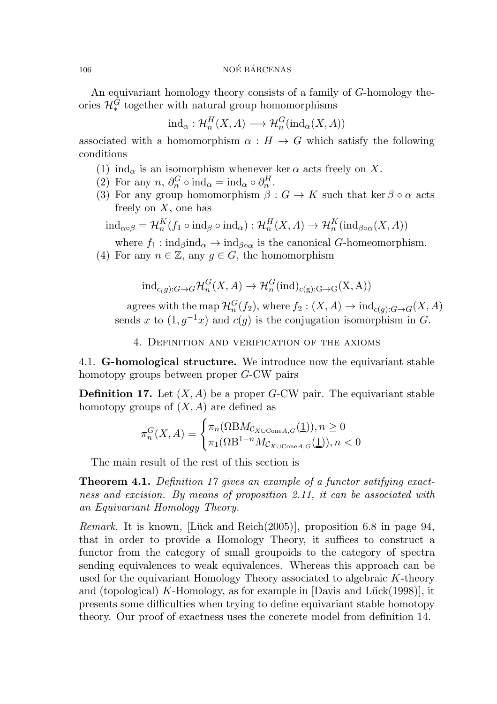An equivariant homology theory consists of a family of G-homology theories  $\mathcal{H}^G_*$  together with natural group homomorphisms

$$
ind_{\alpha}: \mathcal{H}_n^H(X, A) \longrightarrow \mathcal{H}_n^G(ind_{\alpha}(X, A))
$$

associated with a homomorphism  $\alpha : H \to G$  which satisfy the following conditions

- (1) ind<sub> $\alpha$ </sub> is an isomorphism whenever ker  $\alpha$  acts freely on X.
- (2) For any  $n, \partial_n^G \circ \text{ind}_{\alpha} = \text{ind}_{\alpha} \circ \partial_n^H$ .
- (3) For any group homomorphism  $\beta: G \to K$  such that ker  $\beta \circ \alpha$  acts freely on  $X$ , one has

$$
ind_{\alpha \circ \beta} = \mathcal{H}_n^K(f_1 \circ ind_{\beta} \circ ind_{\alpha}) : \mathcal{H}_n^H(X, A) \to \mathcal{H}_n^K(ind_{\beta \circ \alpha}(X, A))
$$

where  $f_1: \text{ind}_{\beta} \text{ind}_{\alpha} \rightarrow \text{ind}_{\beta \circ \alpha}$  is the canonical G-homeomorphism.

(4) For any  $n \in \mathbb{Z}$ , any  $g \in G$ , the homomorphism

$$
\mathrm{ind}_{c(g):G\to G} \mathcal{H}_n^G(X,A) \to \mathcal{H}_n^G(\mathrm{ind})_{c(g):G\to G}(X,A))
$$

agrees with the map  $\mathcal{H}_n^G(f_2)$ , where  $f_2: (X, A) \to \text{ind}_{c(g):G \to G}(X, A)$ sends x to  $(1, g^{-1}x)$  and  $c(g)$  is the conjugation isomorphism in G.

4. Definition and verification of the axioms

4.1. G-homological structure. We introduce now the equivariant stable homotopy groups between proper G-CW pairs

**Definition 17.** Let  $(X, A)$  be a proper G-CW pair. The equivariant stable homotopy groups of  $(X, A)$  are defined as

$$
\pi_n^G(X, A) = \begin{cases} \pi_n(\Omega \text{B} M_{\mathcal{C}_{X \cup \text{Cone} A, G}}(\underline{1})), n \ge 0\\ \pi_1(\Omega \text{B}^{1-n} M_{\mathcal{C}_{X \cup \text{Cone} A, G}}(\underline{1})), n < 0 \end{cases}
$$

The main result of the rest of this section is

**Theorem 4.1.** Definition 17 gives an example of a functor satifying exactness and excision. By means of proposition 2.11, it can be associated with an Equivariant Homology Theory.

Remark. It is known, [Lück and Reich $(2005)$ ], proposition 6.8 in page 94, that in order to provide a Homology Theory, it suffices to construct a functor from the category of small groupoids to the category of spectra sending equivalences to weak equivalences. Whereas this approach can be used for the equivariant Homology Theory associated to algebraic K-theory and (topological) K-Homology, as for example in  $[Davis]$  and  $Lück(1998)]$ , it presents some difficulties when trying to define equivariant stable homotopy theory. Our proof of exactness uses the concrete model from definition 14.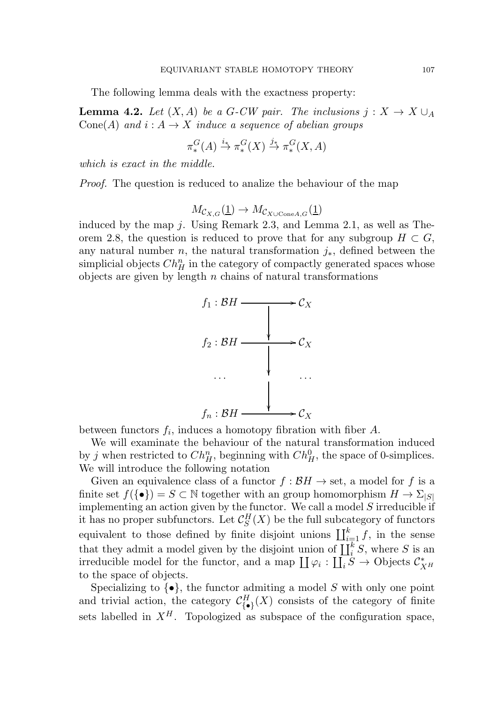The following lemma deals with the exactness property:

**Lemma 4.2.** Let  $(X, A)$  be a G-CW pair. The inclusions  $j: X \to X \cup_A$ Cone(A) and  $i: A \rightarrow X$  induce a sequence of abelian groups

$$
\pi^G_*(A) \stackrel{i_*}{\to} \pi^G_*(X) \stackrel{j_*}{\to} \pi^G_*(X,A)
$$

which is exact in the middle.

Proof. The question is reduced to analize the behaviour of the map

$$
M_{\mathcal{C}_{X,G}}(\underline{1}) \to M_{\mathcal{C}_{X \cup \text{Cone}A,G}}(\underline{1})
$$

induced by the map  $i$ . Using Remark 2.3, and Lemma 2.1, as well as Theorem 2.8, the question is reduced to prove that for any subgroup  $H \subset G$ , any natural number *n*, the natural transformation  $j_*,$  defined between the simplicial objects  $Ch_H^n$  in the category of compactly generated spaces whose objects are given by length  $n$  chains of natural transformations



between functors  $f_i$ , induces a homotopy fibration with fiber  $A$ .

We will examinate the behaviour of the natural transformation induced by j when restricted to  $Ch_H^n$ , beginning with  $Ch_H^0$ , the space of 0-simplices. We will introduce the following notation

Given an equivalence class of a functor  $f : \mathcal{B}H \to \text{set}$ , a model for f is a finite set  $f(\{\bullet\}) = S \subset \mathbb{N}$  together with an group homomorphism  $H \to \Sigma_{|S|}$ implementing an action given by the functor. We call a model  $S$  irreducible if it has no proper subfunctors. Let  $\mathcal{C}_S^H$  $S<sub>S</sub><sup>H</sup>(X)$  be the full subcategory of functors equivalent to those defined by finite disjoint unions  $\prod_{i=1}^k f$ , in the sense that they admit a model given by the disjoint union of  $\coprod_{i=1}^{k} S$ , where S is an irreducible model for the functor, and a map  $\coprod \varphi_i : \coprod_i \dot{S} \to \text{Objects } \mathcal{C}_{\dot{X}}^*$  $X^H$ to the space of objects.

Specializing to  $\{\bullet\}$ , the functor admiting a model S with only one point and trivial action, the category  $\mathcal{C}_{\{\bullet\}}^H(X)$  consists of the category of finite sets labelled in  $X^H$ . Topologized as subspace of the configuration space,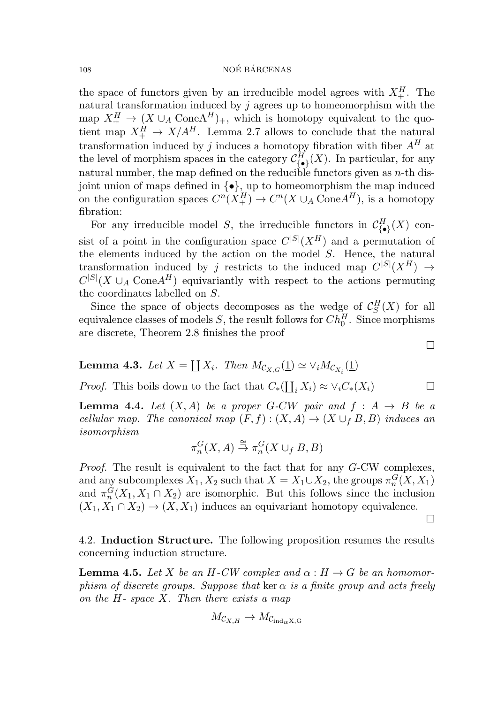the space of functors given by an irreducible model agrees with  $X_+^H$ . The natural transformation induced by  $j$  agrees up to homeomorphism with the map  $X_+^H \to (X \cup_A \text{ConeA}^H)_+,$  which is homotopy equivalent to the quotient map  $X_+^H \to X/A^H$ . Lemma 2.7 allows to conclude that the natural transformation induced by j induces a homotopy fibration with fiber  $A<sup>H</sup>$  at the level of morphism spaces in the category  $\mathcal{C}_{\{\bullet\}}^H(X)$ . In particular, for any natural number, the map defined on the reducible functors given as  $n$ -th disjoint union of maps defined in  $\{\bullet\}$ , up to homeomorphism the map induced on the configuration spaces  $C^n(X_+^H) \to C^n(X \cup_A \text{Cone} A^H)$ , is a homotopy fibration:

For any irreducible model S, the irreducible functors in  $\mathcal{C}_{\{\bullet\}}^H(X)$  consist of a point in the configuration space  $C^{|S|}(X^H)$  and a permutation of the elements induced by the action on the model  $S$ . Hence, the natural transformation induced by j restricts to the induced map  $C^{|S|}(X^H) \rightarrow$  $C^{|S|}(X \cup_A \text{Cone} A^H)$  equivariantly with respect to the actions permuting the coordinates labelled on S.

Since the space of objects decomposes as the wedge of  $\mathcal{C}_S^H$  $S(X)$  for all equivalence classes of models  $S$ , the result follows for  $Ch_0^H$ . Since morphisms are discrete, Theorem 2.8 finishes the proof

**Lemma 4.3.** Let  $X = \coprod X_i$ . Then  $M_{\mathcal{C}_{X,G}}(\underline{1}) \simeq \vee_i M_{\mathcal{C}_{X_i}}(\underline{1})$ 

*Proof.* This boils down to the fact that  $C_*(\coprod_i X_i) \approx \vee_i C_*(X_i)$ 

**Lemma 4.4.** Let  $(X, A)$  be a proper G-CW pair and  $f : A \rightarrow B$  be a cellular map. The canonical map  $(F, f) : (X, A) \to (X \cup_{f} B, B)$  induces an isomorphism

$$
\pi_n^G(X,A)\stackrel{\cong}{\to} \pi_n^G(X\cup_f B,B)
$$

Proof. The result is equivalent to the fact that for any G-CW complexes, and any subcomplexes  $X_1, X_2$  such that  $X = X_1 \cup X_2$ , the groups  $\pi_n^G(X, X_1)$ and  $\pi_n^G(X_1, X_1 \cap X_2)$  are isomorphic. But this follows since the inclusion  $(X_1, X_1 \cap X_2) \to (X, X_1)$  induces an equivariant homotopy equivalence.

4.2. Induction Structure. The following proposition resumes the results concerning induction structure.

**Lemma 4.5.** Let X be an H-CW complex and  $\alpha : H \to G$  be an homomorphism of discrete groups. Suppose that ker  $\alpha$  is a finite group and acts freely on the  $H$ - space  $X$ . Then there exists a map

$$
M_{\mathcal{C}_{X,H}} \to M_{\mathcal{C}_{\mathrm{ind}_{\alpha}X, G}}
$$

 $\Box$ 

 $\Box$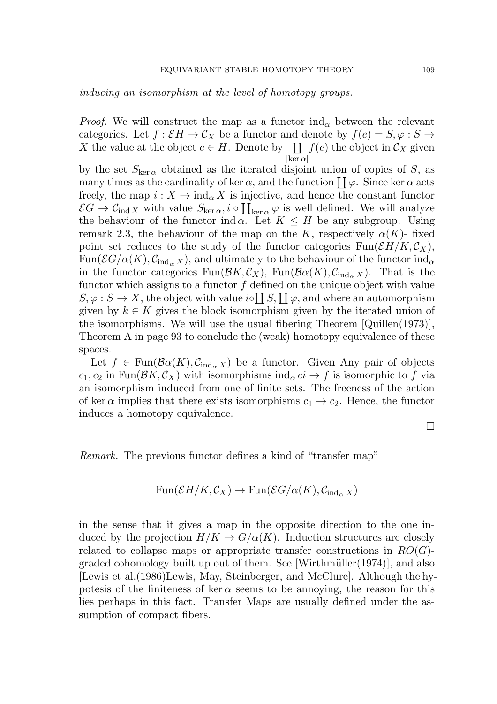inducing an isomorphism at the level of homotopy groups.

*Proof.* We will construct the map as a functor  $\text{ind}_{\alpha}$  between the relevant categories. Let  $f : \mathcal{E}H \to \mathcal{C}_X$  be a functor and denote by  $f(e) = S, \varphi : S \to$ X the value at the object  $e \in H$ . Denote by  $\prod f(e)$  the object in  $\mathcal{C}_X$  given  $|\ker \alpha|$ 

by the set  $S_{\text{ker }\alpha}$  obtained as the iterated disjoint union of copies of S, as many times as the cardinality of ker  $\alpha$ , and the function  $\coprod \varphi$ . Since ker  $\alpha$  acts freely, the map  $i: X \to \text{ind}_{\alpha} X$  is injective, and hence the constant functor  $\mathcal{E}G \to \mathcal{C}_{\text{ind }X}$  with value  $S_{\ker \alpha}, i \circ \coprod_{\ker \alpha} \varphi$  is well defined. We will analyze the behaviour of the functor ind  $\alpha$ . Let  $K \leq H$  be any subgroup. Using remark 2.3, the behaviour of the map on the K, respectively  $\alpha(K)$ - fixed point set reduces to the study of the functor categories  $\text{Fun}(\mathcal{E}H/K,\mathcal{C}_X)$ ,  $\text{Fun}(\mathcal{E}G/\alpha(K), \mathcal{C}_{\text{ind}_{\alpha}X})$ , and ultimately to the behaviour of the functor  $\text{ind}_{\alpha}$ in the functor categories  $\text{Fun}(\mathcal{B}K,\mathcal{C}_X)$ ,  $\text{Fun}(\mathcal{B}\alpha(K),\mathcal{C}_{\text{ind}_{\alpha}X})$ . That is the functor which assigns to a functor  $f$  defined on the unique object with value  $S, \varphi : S \to X$ , the object with value  $i \circ \coprod S, \coprod \varphi$ , and where an automorphism given by  $k \in K$  gives the block isomorphism given by the iterated union of the isomorphisms. We will use the usual fibering Theorem [Quillen(1973)], Theorem A in page 93 to conclude the (weak) homotopy equivalence of these spaces.

Let  $f \in \text{Fun}(\mathcal{B}\alpha(K), \mathcal{C}_{\text{ind}_{\alpha} X})$  be a functor. Given Any pair of objects  $c_1, c_2$  in Fun( $\mathcal{B}K, \mathcal{C}_X$ ) with isomorphisms ind<sub> $\alpha$ </sub>  $ci \to f$  is isomorphic to f via an isomorphism induced from one of finite sets. The freeness of the action of ker  $\alpha$  implies that there exists isomorphisms  $c_1 \rightarrow c_2$ . Hence, the functor induces a homotopy equivalence.

 $\Box$ 

Remark. The previous functor defines a kind of "transfer map"

$$
\text{Fun}(\mathcal{E}H/K,\mathcal{C}_X)\to \text{Fun}(\mathcal{E}G/\alpha(K),\mathcal{C}_{\text{ind}_{\alpha}X})
$$

in the sense that it gives a map in the opposite direction to the one induced by the projection  $H/K \to G/\alpha(K)$ . Induction structures are closely related to collapse maps or appropriate transfer constructions in  $RO(G)$ graded cohomology built up out of them. See [Wirthmüller $(1974)$ ], and also [Lewis et al.(1986)Lewis, May, Steinberger, and McClure]. Although the hypotesis of the finiteness of ker  $\alpha$  seems to be annoying, the reason for this lies perhaps in this fact. Transfer Maps are usually defined under the assumption of compact fibers.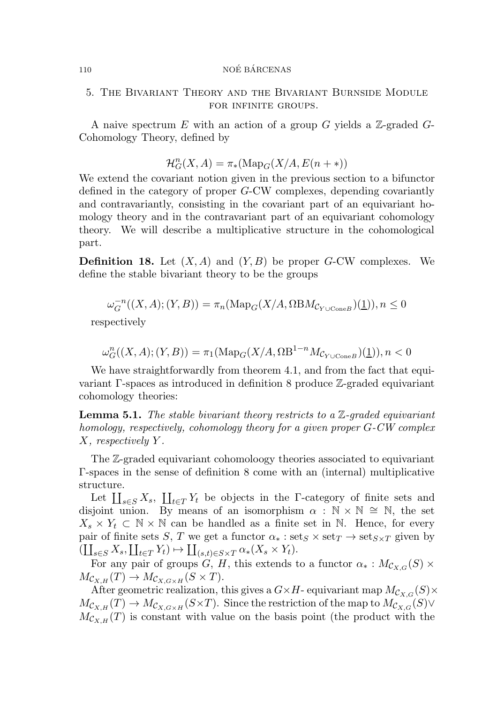5. The Bivariant Theory and the Bivariant Burnside Module FOR INFINITE GROUPS.

A naive spectrum E with an action of a group G yields a  $\mathbb{Z}$ -graded G-Cohomology Theory, defined by

$$
\mathcal{H}_G^n(X, A) = \pi_*(\text{Map}_G(X/A, E(n + *)))
$$

We extend the covariant notion given in the previous section to a bifunctor defined in the category of proper G-CW complexes, depending covariantly and contravariantly, consisting in the covariant part of an equivariant homology theory and in the contravariant part of an equivariant cohomology theory. We will describe a multiplicative structure in the cohomological part.

**Definition 18.** Let  $(X, A)$  and  $(Y, B)$  be proper G-CW complexes. We define the stable bivariant theory to be the groups

$$
\omega_G^{-n}((X, A); (Y, B)) = \pi_n(\text{Map}_G(X/A, \Omega \text{B}M_{\mathcal{C}_{Y \cup \text{Cone}}B})(\underline{1})), n \le 0
$$

respectively

$$
\omega_G^n((X,A); (Y,B)) = \pi_1(\operatorname{Map}_G(X/A, \Omega B^{1-n} M_{\mathcal{C}_{Y \cup \operatorname{Cone} B}})(\underline{1})), n < 0
$$

We have straightforwardly from theorem 4.1, and from the fact that equivariant Γ-spaces as introduced in definition 8 produce Z-graded equivariant cohomology theories:

**Lemma 5.1.** The stable bivariant theory restricts to a  $\mathbb{Z}$ -graded equivariant homology, respectively, cohomology theory for a given proper G-CW complex X, respectively Y .

The Z-graded equivariant cohomoloogy theories associated to equivariant Γ-spaces in the sense of definition 8 come with an (internal) multiplicative structure.

Let  $\coprod_{s\in S} X_s$ ,  $\coprod_{t\in T} Y_t$  be objects in the Γ-category of finite sets and disjoint union. By means of an isomorphism  $\alpha : \mathbb{N} \times \mathbb{N} \cong \mathbb{N}$ , the set  $X_s \times Y_t \subset \mathbb{N} \times \mathbb{N}$  can be handled as a finite set in  $\mathbb{N}$ . Hence, for every pair of finite sets S, T we get a functor  $\alpha_* : \text{set}_S \times \text{set}_T \to \text{set}_{S \times T}$  given by  $(\coprod_{s\in S} X_s, \coprod_{t\in T} Y_t) \mapsto \coprod_{(s,t)\in S\times T} \alpha_*(X_s \times Y_t).$ 

For any pair of groups  $G, H$ , this extends to a functor  $\alpha_* : M_{C_{X,G}}(S) \times$  $M_{\mathcal{C}_{X,H}}(T) \to M_{\mathcal{C}_{X,G \times H}}(S \times T).$ 

After geometric realization, this gives a  $G \times H$ - equivariant map  $M_{\mathcal{C}_{X,G}}(S) \times$  $M_{\mathcal{C}_{X,H}}(T) \to M_{\mathcal{C}_{X,G \times H}}(S \times T)$ . Since the restriction of the map to  $M_{\mathcal{C}_{X,G}}(S) \vee$  $M_{\mathcal{C}_{X,H}}(T)$  is constant with value on the basis point (the product with the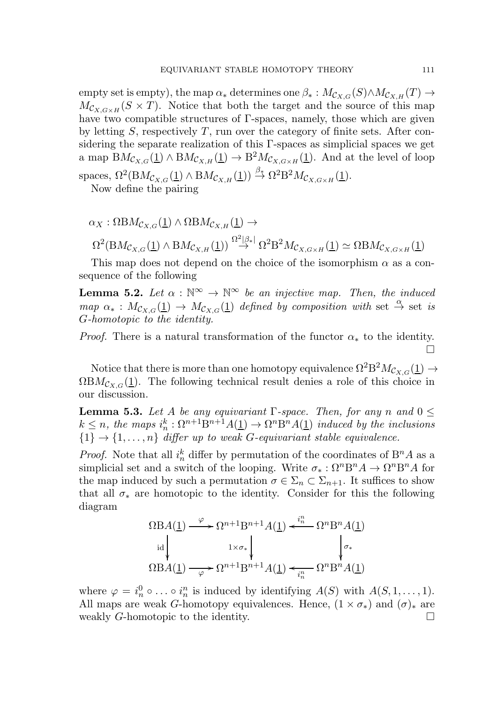empty set is empty), the map  $\alpha_*$  determines one  $\beta_* : M_{\mathcal{C}_{X,G}}(S) \wedge M_{\mathcal{C}_{X,H}}(T) \rightarrow$  $M_{\mathcal{C}_{X,G\times H}}(S\times T)$ . Notice that both the target and the source of this map have two compatible structures of Γ-spaces, namely, those which are given by letting  $S$ , respectively  $T$ , run over the category of finite sets. After considering the separate realization of this Γ-spaces as simplicial spaces we get a map  $BM_{\mathcal{C}_{X,G}}(\underline{1}) \wedge BM_{\mathcal{C}_{X,H}}(\underline{1}) \rightarrow B^2 M_{\mathcal{C}_{X,G \times H}}(\underline{1})$ . And at the level of loop spaces,  $\Omega^2(BM_{\mathcal{C}_{X,G}}(\underline{1}) \wedge BM_{\mathcal{C}_{X,H}}(\underline{1})) \stackrel{\beta_*}{\rightarrow} \Omega^2 B^2 M_{\mathcal{C}_{X,G \times H}}(\underline{1}).$ 

Now define the pairing

$$
\alpha_X : \Omega BM_{\mathcal{C}_{X,G}}(\underline{1}) \wedge \Omega BM_{\mathcal{C}_{X,H}}(\underline{1}) \rightarrow
$$
  

$$
\Omega^2(BM_{\mathcal{C}_{X,G}}(\underline{1}) \wedge BM_{\mathcal{C}_{X,H}}(\underline{1})) \stackrel{\Omega^2|\beta_*|}{\rightarrow} \Omega^2 B^2 M_{\mathcal{C}_{X,G \times H}}(\underline{1}) \simeq \Omega BM_{\mathcal{C}_{X,G \times H}}(\underline{1})
$$

This map does not depend on the choice of the isomorphism  $\alpha$  as a consequence of the following

**Lemma 5.2.** Let  $\alpha : \mathbb{N}^{\infty} \to \mathbb{N}^{\infty}$  be an injective map. Then, the induced map  $\alpha_* : M_{\mathcal{C}_{X,G}}(\underline{1}) \to M_{\mathcal{C}_{X,G}}(\underline{1})$  defined by composition with set  $\stackrel{\alpha}{\to}$  set is G-homotopic to the identity.

*Proof.* There is a natural transformation of the functor  $\alpha_*$  to the identity.  $\stackrel{\cdot}{\Box}$ 

Notice that there is more than one homotopy equivalence  $\Omega^2 {\rm B}^2 M_{{\cal C}_{X,G}}(\underline{1}) \rightarrow$  $\Omega B M_{\mathcal{C}_{X,G}}(\underline{1})$ . The following technical result denies a role of this choice in our discussion.

**Lemma 5.3.** Let A be any equivariant  $\Gamma$ -space. Then, for any n and  $0 \leq$  $k \leq n$ , the maps  $i_n^k : \Omega^{n+1} \mathcal{B}^{n+1} A(\underline{1}) \rightarrow \Omega^n \mathcal{B}^n A(\underline{1})$  induced by the inclusions  ${1} \rightarrow {1, \ldots, n}$  differ up to weak G-equivariant stable equivalence.

*Proof.* Note that all  $i_n^k$  differ by permutation of the coordinates of  $B^n A$  as a simplicial set and a switch of the looping. Write  $\sigma_* : \Omega^n B^n A \to \Omega^n B^n A$  for the map induced by such a permutation  $\sigma \in \Sigma_n \subset \Sigma_{n+1}$ . It suffices to show that all  $\sigma_*$  are homotopic to the identity. Consider for this the following diagram

$$
\Omega \text{BA}(\underline{1}) \xrightarrow{\varphi} \Omega^{n+1} \text{B}^{n+1} A(\underline{1}) \xleftarrow{i_n^n} \Omega^n \text{B}^n A(\underline{1})
$$
\n
$$
\text{B}^1 \text{A}(\underline{1}) \xrightarrow{\text{i} \times \sigma_*} \text{B}^n A(\underline{1}) \xleftarrow{\text{i} \times \sigma_*} \text{B}^n A(\underline{1})
$$

where  $\varphi = i_n^0 \circ \ldots \circ i_n^n$  is induced by identifying  $A(S)$  with  $A(S, 1, \ldots, 1)$ . All maps are weak G-homotopy equivalences. Hence,  $(1 \times \sigma_*)$  and  $(\sigma)_*$  are weakly G-homotopic to the identity.  $\Box$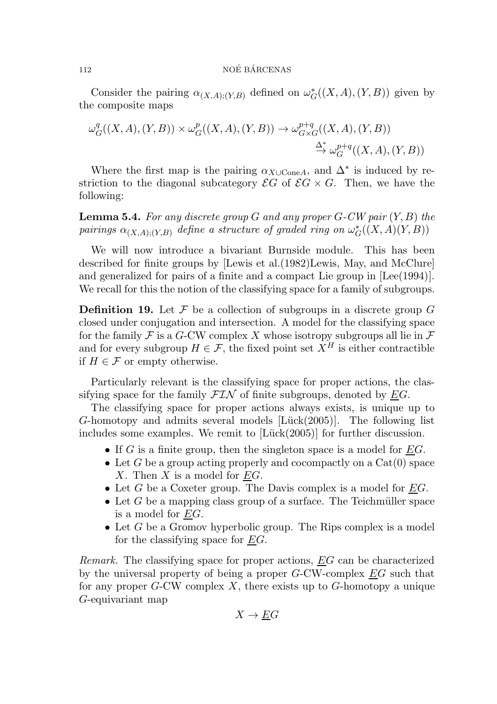Consider the pairing  $\alpha_{(X,A);(Y,B)}$  defined on  $\omega_G^*((X,A),(Y,B))$  given by the composite maps

$$
\omega_G^q((X, A), (Y, B)) \times \omega_G^p((X, A), (Y, B)) \to \omega_{G \times G}^{p+q}((X, A), (Y, B))
$$
  

$$
\xrightarrow{\Delta^*} \omega_G^{p+q}((X, A), (Y, B))
$$

Where the first map is the pairing  $\alpha_{X\cup\text{Cone}}A$ , and  $\Delta^*$  is induced by restriction to the diagonal subcategory  $\mathcal{E}G$  of  $\mathcal{E}G \times G$ . Then, we have the following:

**Lemma 5.4.** For any discrete group G and any proper  $G$ -CW pair  $(Y, B)$  the pairings  $\alpha_{(X,A);(Y,B)}$  define a structure of graded ring on  $\omega_G^*((X,A)(Y,B))$ 

We will now introduce a bivariant Burnside module. This has been described for finite groups by [Lewis et al.(1982)Lewis, May, and McClure] and generalized for pairs of a finite and a compact Lie group in [Lee(1994)]. We recall for this the notion of the classifying space for a family of subgroups.

**Definition 19.** Let  $\mathcal F$  be a collection of subgroups in a discrete group  $G$ closed under conjugation and intersection. A model for the classifying space for the family  $\mathcal F$  is a G-CW complex X whose isotropy subgroups all lie in  $\mathcal F$ and for every subgroup  $H \in \mathcal{F}$ , the fixed point set  $X^H$  is either contractible if  $H \in \mathcal{F}$  or empty otherwise.

Particularly relevant is the classifying space for proper actions, the classifying space for the family  $\mathcal{FIN}$  of finite subgroups, denoted by  $EG$ .

The classifying space for proper actions always exists, is unique up to  $G$ -homotopy and admits several models  $[Lück(2005)]$ . The following list includes some examples. We remit to  $[Lück(2005)]$  for further discussion.

- If G is a finite group, then the singleton space is a model for  $EG$ .
- Let G be a group acting properly and cocompactly on a  $Cat(0)$  space X. Then  $X$  is a model for  $EG$ .
- Let  $G$  be a Coxeter group. The Davis complex is a model for  $EG$ .
- Let G be a mapping class group of a surface. The Teichmüller space is a model for EG.
- Let  $G$  be a Gromov hyperbolic group. The Rips complex is a model for the classifying space for  $EG$ .

Remark. The classifying space for proper actions, EG can be characterized by the universal property of being a proper G-CW-complex EG such that for any proper  $G$ -CW complex X, there exists up to  $G$ -homotopy a unique G-equivariant map

$$
X \to \underline{E}G
$$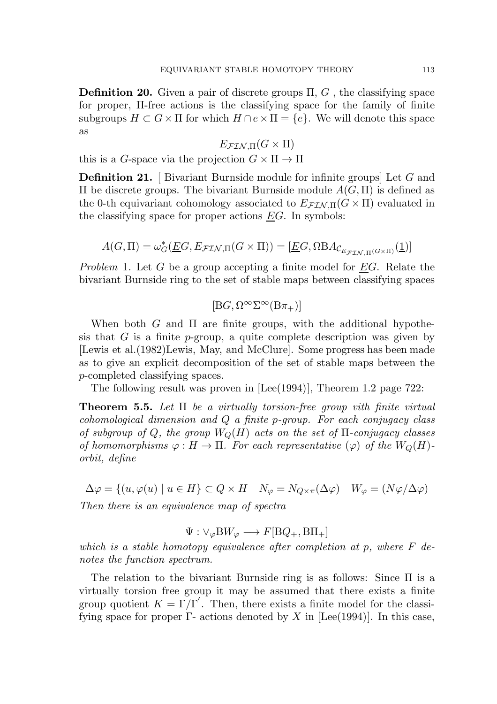**Definition 20.** Given a pair of discrete groups  $\Pi$ ,  $G$ , the classifying space for proper, Π-free actions is the classifying space for the family of finite subgroups  $H \subset G \times \Pi$  for which  $H \cap e \times \Pi = \{e\}$ . We will denote this space as

$$
E_{\mathcal{F} \mathcal{I} \mathcal{N}, \Pi} (G \times \Pi)
$$

this is a G-space via the projection  $G \times \Pi \to \Pi$ 

Definition 21. [ Bivariant Burnside module for infinite groups] Let G and Π be discrete groups. The bivariant Burnside module A(G, Π) is defined as the 0-th equivariant cohomology associated to  $E_{\mathcal{F}(\mathcal{I})}(\mathbb{G} \times \Pi)$  evaluated in the classifying space for proper actions  $EG$ . In symbols:

$$
A(G,\Pi) = \omega_G^*(\underline{EG}, E_{\mathcal{FIN},\Pi}(G \times \Pi)) = [\underline{EG}, \Omega B A_{\mathcal{C}_{E_{\mathcal{FIN},\Pi}(G \times \Pi)}}(\underline{1})]
$$

Problem 1. Let G be a group accepting a finite model for EG. Relate the bivariant Burnside ring to the set of stable maps between classifying spaces

$$
[\mathbf{B}G,\Omega^\infty\Sigma^\infty(\mathbf{B}\pi_+)]
$$

When both  $G$  and  $\Pi$  are finite groups, with the additional hypothesis that G is a finite  $p$ -group, a quite complete description was given by [Lewis et al.(1982)Lewis, May, and McClure]. Some progress has been made as to give an explicit decomposition of the set of stable maps between the p-completed classifying spaces.

The following result was proven in [Lee(1994)], Theorem 1.2 page 722:

**Theorem 5.5.** Let  $\Pi$  be a virtually torsion-free group vith finite virtual cohomological dimension and Q a finite p-group. For each conjugacy class of subgroup of Q, the group  $W_O(H)$  acts on the set of  $\Pi$ -conjugacy classes of homomorphisms  $\varphi : H \to \Pi$ . For each representative  $(\varphi)$  of the  $W_Q(H)$ orbit, define

 $\Delta \varphi = \{(u, \varphi(u) \mid u \in H\} \subset Q \times H \quad N_{\varphi} = N_{Q \times \pi}(\Delta \varphi) \quad W_{\varphi} = (N \varphi / \Delta \varphi)$ Then there is an equivalence map of spectra

 $\Psi : \vee_{\varphi} BW_{\varphi} \longrightarrow F[{\rm B}Q_{+}, {\rm B}\Pi_{+}]$ 

which is a stable homotopy equivalence after completion at p, where  $F$  denotes the function spectrum.

The relation to the bivariant Burnside ring is as follows: Since Π is a virtually torsion free group it may be assumed that there exists a finite group quotient  $K = \Gamma/\Gamma'$ . Then, there exists a finite model for the classifying space for proper  $\Gamma$ - actions denoted by X in [Lee(1994)]. In this case,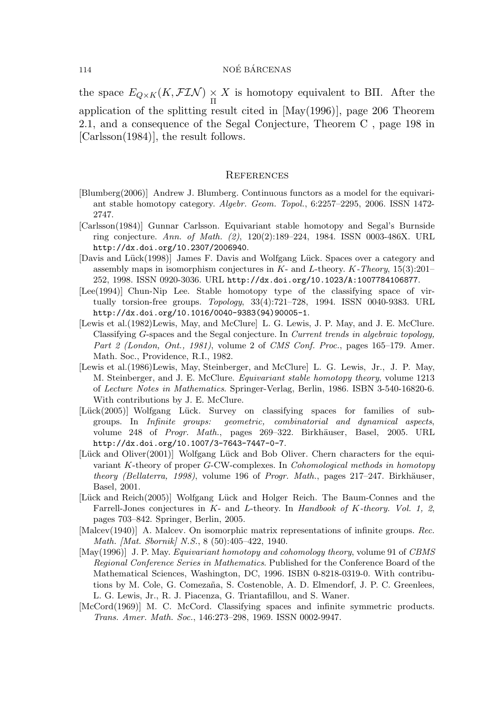the space  $E_{Q\times K}(K,\mathcal{FIN})\underset{\Pi}{\times}$ X is homotopy equivalent to BII. After the application of the splitting result cited in [May(1996)], page 206 Theorem 2.1, and a consequence of the Segal Conjecture, Theorem C , page 198 in [Carlsson(1984)], the result follows.

#### **REFERENCES**

- [Blumberg(2006)] Andrew J. Blumberg. Continuous functors as a model for the equivariant stable homotopy category. *Algebr. Geom. Topol.*, 6:2257–2295, 2006. ISSN 1472- 2747.
- [Carlsson(1984)] Gunnar Carlsson. Equivariant stable homotopy and Segal's Burnside ring conjecture. *Ann. of Math. (2)*, 120(2):189–224, 1984. ISSN 0003-486X. URL http://dx.doi.org/10.2307/2006940.
- [Davis and Lück(1998)] James F. Davis and Wolfgang Lück. Spaces over a category and assembly maps in isomorphism conjectures in K- and L-theory. K*-Theory*, 15(3):201– 252, 1998. ISSN 0920-3036. URL http://dx.doi.org/10.1023/A:1007784106877.
- [Lee(1994)] Chun-Nip Lee. Stable homotopy type of the classifying space of virtually torsion-free groups. *Topology*, 33(4):721–728, 1994. ISSN 0040-9383. URL http://dx.doi.org/10.1016/0040-9383(94)90005-1.
- [Lewis et al.(1982)Lewis, May, and McClure] L. G. Lewis, J. P. May, and J. E. McClure. Classifying G-spaces and the Segal conjecture. In *Current trends in algebraic topology, Part 2 (London, Ont., 1981)*, volume 2 of *CMS Conf. Proc.*, pages 165–179. Amer. Math. Soc., Providence, R.I., 1982.
- [Lewis et al.(1986)Lewis, May, Steinberger, and McClure] L. G. Lewis, Jr., J. P. May, M. Steinberger, and J. E. McClure. *Equivariant stable homotopy theory*, volume 1213 of *Lecture Notes in Mathematics*. Springer-Verlag, Berlin, 1986. ISBN 3-540-16820-6. With contributions by J. E. McClure.
- [Lück(2005)] Wolfgang Lück. Survey on classifying spaces for families of subgroups. In *Infinite groups: geometric, combinatorial and dynamical aspects*, volume 248 of *Progr. Math.*, pages 269–322. Birkhäuser, Basel, 2005. URL http://dx.doi.org/10.1007/3-7643-7447-0-7.
- [Lück and Oliver(2001)] Wolfgang Lück and Bob Oliver. Chern characters for the equivariant K-theory of proper G-CW-complexes. In *Cohomological methods in homotopy theory (Bellaterra, 1998)*, volume 196 of *Progr. Math.*, pages 217–247. Birkhäuser, Basel, 2001.
- [Lück and Reich(2005)] Wolfgang Lück and Holger Reich. The Baum-Connes and the Farrell-Jones conjectures in K- and L-theory. In *Handbook of* K*-theory. Vol. 1, 2*, pages 703–842. Springer, Berlin, 2005.
- [Malcev(1940)] A. Malcev. On isomorphic matrix representations of infinite groups. *Rec. Math. [Mat. Sbornik] N.S.*, 8 (50):405–422, 1940.
- [May(1996)] J. P. May. *Equivariant homotopy and cohomology theory*, volume 91 of *CBMS Regional Conference Series in Mathematics*. Published for the Conference Board of the Mathematical Sciences, Washington, DC, 1996. ISBN 0-8218-0319-0. With contributions by M. Cole, G. Comezaña, S. Costenoble, A. D. Elmendorf, J. P. C. Greenlees, L. G. Lewis, Jr., R. J. Piacenza, G. Triantafillou, and S. Waner.
- [McCord(1969)] M. C. McCord. Classifying spaces and infinite symmetric products. *Trans. Amer. Math. Soc.*, 146:273–298, 1969. ISSN 0002-9947.